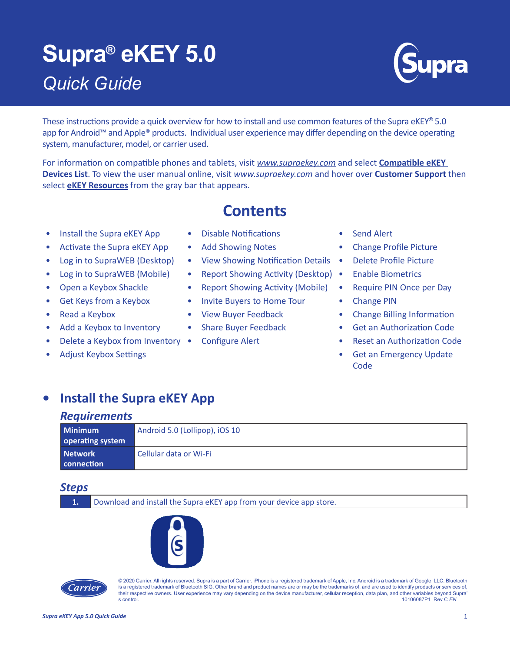# **Supra® eKEY 5.0** *Quick Guide*



These instructions provide a quick overview for how to install and use common features of the Supra eKEY<sup>®</sup> 5.0 app for Android™ and Apple® products. Individual user experience may differ depending on the device operating system, manufacturer, model, or carrier used.

For information on compatible phones and tablets, visit *[www.supraekey.com](http://www.supraekey.com/Pages/Home.aspx)* and select **[Compatible eKEY](http://http://www.supraekey.com/Documents/current_devices.pdf)  [Devices List](http://http://www.supraekey.com/Documents/current_devices.pdf)**. To view the user manual online, visit *[www.supraekey.com](http://www.supraekey.com)* and hover over **Customer Support** then select **[eKEY Resources](http://www.supraekey.com/CustomerSupport/Pages/eKEY-Resources.aspx)** from the gray bar that appears.

**Contents**

- Install the Supra eKEY App Disable Notifications Send Alert
- Activate the Supra eKEY App Add Showing Notes Change Profile Picture
- 
- 
- 
- 
- 
- 
- **Delete a Keybox from Inventory Configure Alert Reset an Authorization Code**
- 
- 
- 
- 
- Log in to SupraWEB (Desktop) View Showing Notification Details Delete Profile Picture
- Log in to SupraWEB (Mobile) Report Showing Activity (Desktop) Enable Biometrics
- Open a Keybox Shackle Report Showing Activity (Mobile) Require PIN Once per Day
- Get Keys from a Keybox Invite Buyers to Home Tour Change PIN
	-
	-
	-
- 
- 
- 
- 
- 
- 
- Read a Keybox View Buyer Feedback Change Billing Information
	- Add a Keybox to Inventory Share Buyer Feedback Get an Authorization Code
		-
	- Adjust Keybox Settings Get an Emergency Update **Code**

### **• Install the Supra eKEY App**

### *Requirements*

| <b>Minimum</b>   | Android 5.0 (Lollipop), iOS 10 |
|------------------|--------------------------------|
| operating system |                                |
| <b>Network</b>   | Cellular data or Wi-Fi         |
| connection       |                                |

### *Steps*

**1.** Download and install the Supra eKEY app from your device app store.





© 2020 Carrier. All rights reserved. Supra is a part of Carrier. iPhone is a registered trademark of Apple, Inc. Android is a trademark of Google, LLC. Bluetooth is a registered trademark of Bluetooth SIG. Other brand and product names are or may be the trademarks of, and are used to identify products or services of, their respective owners. User experience may vary depending on the device manufacturer, cellular reception, data plan, and other variables beyond Supra' s control. 10106087P1 Rev C *EN*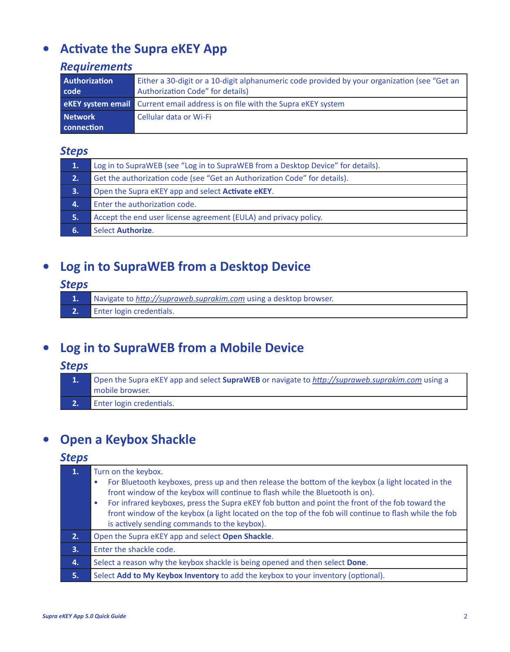# <span id="page-1-0"></span>**• Activate the Supra eKEY App**

### *Requirements*

| <b>Authorization</b> | Either a 30-digit or a 10-digit alphanumeric code provided by your organization (see "Get an |
|----------------------|----------------------------------------------------------------------------------------------|
| code                 | Authorization Code" for details)                                                             |
|                      | <b>eKEY system email</b> Current email address is on file with the Supra eKEY system         |
| <b>Network</b>       | Cellular data or Wi-Fi                                                                       |
| connection           |                                                                                              |

### *Steps*

| 1. | Log in to SupraWEB (see "Log in to SupraWEB from a Desktop Device" for details). |
|----|----------------------------------------------------------------------------------|
| 2. | Get the authorization code (see "Get an Authorization Code" for details).        |
| 3. | Open the Supra eKEY app and select <b>Activate eKEY</b> .                        |
| 4. | Enter the authorization code.                                                    |
| 5. | Accept the end user license agreement (EULA) and privacy policy.                 |
| 6. | Select Authorize.                                                                |

# **• Log in to SupraWEB from a Desktop Device**

### *Steps*

- **1.** Navigate to *<http://supraweb.suprakim.com>* using a desktop browser.
- **2.** Enter login credentials.

# **• Log in to SupraWEB from a Mobile Device**

### *Steps*

**1.** Open the Supra eKEY app and select **SupraWEB** or navigate to *<http://supraweb.suprakim.com>* using a mobile browser. **2.** Enter login credentials.

# **• Open a Keybox Shackle**

| 1. | Turn on the keybox.<br>For Bluetooth keyboxes, press up and then release the bottom of the keybox (a light located in the<br>$\bullet$<br>front window of the keybox will continue to flash while the Bluetooth is on).<br>For infrared keyboxes, press the Supra eKEY fob button and point the front of the fob toward the<br>۰<br>front window of the keybox (a light located on the top of the fob will continue to flash while the fob<br>is actively sending commands to the keybox). |
|----|--------------------------------------------------------------------------------------------------------------------------------------------------------------------------------------------------------------------------------------------------------------------------------------------------------------------------------------------------------------------------------------------------------------------------------------------------------------------------------------------|
| 2. | Open the Supra eKEY app and select Open Shackle.                                                                                                                                                                                                                                                                                                                                                                                                                                           |
| 3. | Enter the shackle code.                                                                                                                                                                                                                                                                                                                                                                                                                                                                    |
| 4. | Select a reason why the keybox shackle is being opened and then select Done.                                                                                                                                                                                                                                                                                                                                                                                                               |
| 5. | Select Add to My Keybox Inventory to add the keybox to your inventory (optional).                                                                                                                                                                                                                                                                                                                                                                                                          |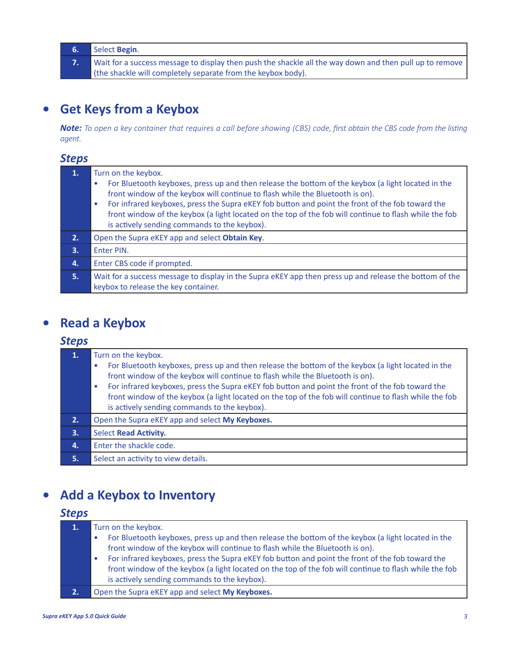- **6.** Select **Begin**.
- **7.** Wait for a success message to display then push the shackle all the way down and then pull up to remove (the shackle will completely separate from the keybox body).

# **• Get Keys from a Keybox**

*Note: To open a key container that requires a call before showing (CBS) code, first obtain the CBS code from the listing agent.* 

### *Steps*

|    | Turn on the keybox.<br>For Bluetooth keyboxes, press up and then release the bottom of the keybox (a light located in the<br>$\bullet$<br>front window of the keybox will continue to flash while the Bluetooth is on).<br>For infrared keyboxes, press the Supra eKEY fob button and point the front of the fob toward the<br>$\bullet$<br>front window of the keybox (a light located on the top of the fob will continue to flash while the fob |
|----|----------------------------------------------------------------------------------------------------------------------------------------------------------------------------------------------------------------------------------------------------------------------------------------------------------------------------------------------------------------------------------------------------------------------------------------------------|
|    | is actively sending commands to the keybox).                                                                                                                                                                                                                                                                                                                                                                                                       |
| 2. | Open the Supra eKEY app and select Obtain Key.                                                                                                                                                                                                                                                                                                                                                                                                     |
| 3. | Enter PIN.                                                                                                                                                                                                                                                                                                                                                                                                                                         |
| 4. | Enter CBS code if prompted.                                                                                                                                                                                                                                                                                                                                                                                                                        |
| 5. | Wait for a success message to display in the Supra eKEY app then press up and release the bottom of the<br>keybox to release the key container.                                                                                                                                                                                                                                                                                                    |

# **• Read a Keybox**

### *Steps*

| 1. | Turn on the keybox.<br>For Bluetooth keyboxes, press up and then release the bottom of the keybox (a light located in the<br>۰<br>front window of the keybox will continue to flash while the Bluetooth is on).<br>For infrared keyboxes, press the Supra eKEY fob button and point the front of the fob toward the<br>$\bullet$<br>front window of the keybox (a light located on the top of the fob will continue to flash while the fob<br>is actively sending commands to the keybox). |
|----|--------------------------------------------------------------------------------------------------------------------------------------------------------------------------------------------------------------------------------------------------------------------------------------------------------------------------------------------------------------------------------------------------------------------------------------------------------------------------------------------|
| 2. | Open the Supra eKEY app and select My Keyboxes.                                                                                                                                                                                                                                                                                                                                                                                                                                            |
| 3. | <b>Select Read Activity.</b>                                                                                                                                                                                                                                                                                                                                                                                                                                                               |
| 4. | Enter the shackle code.                                                                                                                                                                                                                                                                                                                                                                                                                                                                    |
| 5. | Select an activity to view details.                                                                                                                                                                                                                                                                                                                                                                                                                                                        |

# **• Add a Keybox to Inventory**

| 1.        | Turn on the keybox.                                                                                     |  |
|-----------|---------------------------------------------------------------------------------------------------------|--|
|           | For Bluetooth keyboxes, press up and then release the bottom of the keybox (a light located in the<br>۰ |  |
|           | front window of the keybox will continue to flash while the Bluetooth is on).                           |  |
|           | For infrared keyboxes, press the Supra eKEY fob button and point the front of the fob toward the<br>۰   |  |
|           | front window of the keybox (a light located on the top of the fob will continue to flash while the fob  |  |
|           | is actively sending commands to the keybox).                                                            |  |
| <b>2.</b> | Open the Supra eKEY app and select My Keyboxes.                                                         |  |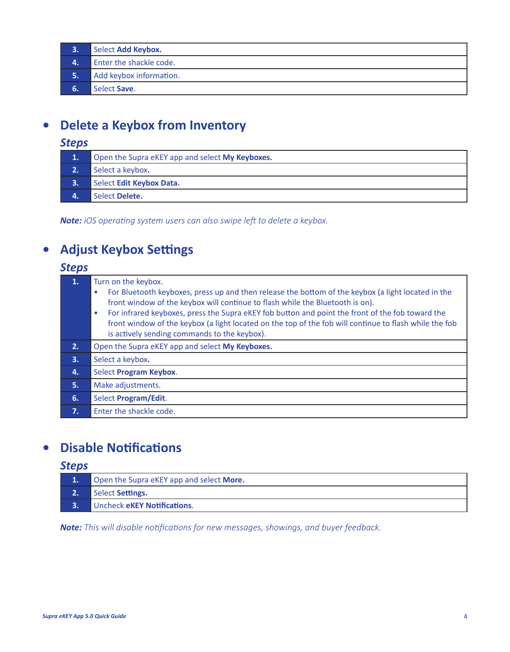- **3.** Select **Add Keybox.**
- **4.** Enter the shackle code.
- **5.** Add keybox information.
- **6.** Select Save.

# **• Delete a Keybox from Inventory**

### *Steps*

| $\mathbf{1}$ . | Open the Supra eKEY app and select My Keyboxes. |
|----------------|-------------------------------------------------|
| 2.             | Select a keybox.                                |
| 3.             | Select Edit Keybox Data.                        |
|                | Select Delete.                                  |

*Note: iOS operating system users can also swipe left to delete a keybox.*

# **• Adjust Keybox Settings**

### *Steps*

| $\mathbf{1}$ . | Turn on the keybox.<br>For Bluetooth keyboxes, press up and then release the bottom of the keybox (a light located in the<br>$\bullet$<br>front window of the keybox will continue to flash while the Bluetooth is on).<br>For infrared keyboxes, press the Supra eKEY fob button and point the front of the fob toward the<br>$\bullet$<br>front window of the keybox (a light located on the top of the fob will continue to flash while the fob<br>is actively sending commands to the keybox). |
|----------------|----------------------------------------------------------------------------------------------------------------------------------------------------------------------------------------------------------------------------------------------------------------------------------------------------------------------------------------------------------------------------------------------------------------------------------------------------------------------------------------------------|
| 2.             | Open the Supra eKEY app and select My Keyboxes.                                                                                                                                                                                                                                                                                                                                                                                                                                                    |
| 3.             | Select a keybox.                                                                                                                                                                                                                                                                                                                                                                                                                                                                                   |
| 4.             | Select Program Keybox.                                                                                                                                                                                                                                                                                                                                                                                                                                                                             |
| 5.             | Make adjustments.                                                                                                                                                                                                                                                                                                                                                                                                                                                                                  |
| 6.             | Select Program/Edit.                                                                                                                                                                                                                                                                                                                                                                                                                                                                               |
| 7.             | Enter the shackle code.                                                                                                                                                                                                                                                                                                                                                                                                                                                                            |
|                |                                                                                                                                                                                                                                                                                                                                                                                                                                                                                                    |

# **• Disable Notifications**

### *Steps*

|    | Open the Supra eKEY app and select More. |
|----|------------------------------------------|
| 2. | Select Settings.                         |
|    | Uncheck eKEY Notifications.              |

*Note: This will disable notifications for new messages, showings, and buyer feedback.*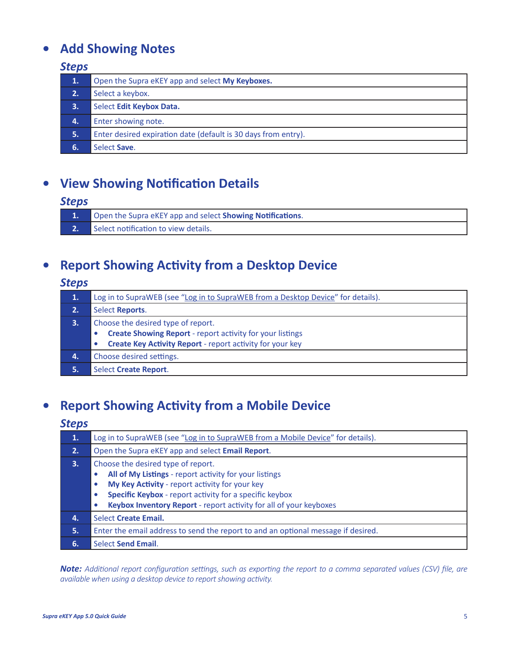# **• Add Showing Notes**

### *Steps*

| 1. | Open the Supra eKEY app and select My Keyboxes.                |
|----|----------------------------------------------------------------|
| 2. | Select a keybox.                                               |
| 3. | Select Edit Keybox Data.                                       |
| 4. | Enter showing note.                                            |
| 5. | Enter desired expiration date (default is 30 days from entry). |
| 6. | Select Save.                                                   |
|    |                                                                |

# **• View Showing Notification Details**

### *Steps*

|    | <b>1.</b> Open the Supra eKEY app and select <b>Showing Notifications</b> . |
|----|-----------------------------------------------------------------------------|
| 2. | Select notification to view details.                                        |

# **• Report Showing Activity from a Desktop Device**

### *Steps*

| Log in to SupraWEB (see "Log in to SupraWEB from a Desktop Device" for details).                                                                                         |
|--------------------------------------------------------------------------------------------------------------------------------------------------------------------------|
| Select Reports.                                                                                                                                                          |
| Choose the desired type of report.<br><b>Create Showing Report - report activity for your listings</b><br>Create Key Activity Report - report activity for your key<br>۰ |
| Choose desired settings.                                                                                                                                                 |
| Select Create Report.                                                                                                                                                    |
|                                                                                                                                                                          |

# **• Report Showing Activity from a Mobile Device**

### *Steps*

| 1. | Log in to SupraWEB (see "Log in to SupraWEB from a Mobile Device" for details).                                                                                                                                                                                                                                             |
|----|-----------------------------------------------------------------------------------------------------------------------------------------------------------------------------------------------------------------------------------------------------------------------------------------------------------------------------|
| 2. | Open the Supra eKEY app and select Email Report.                                                                                                                                                                                                                                                                            |
| 3. | Choose the desired type of report.<br>All of My Listings - report activity for your listings<br>$\bullet$<br>My Key Activity - report activity for your key<br>$\bullet$<br>Specific Keybox - report activity for a specific keybox<br>$\bullet$<br>Keybox Inventory Report - report activity for all of your keyboxes<br>۰ |
| 4. | Select Create Email.                                                                                                                                                                                                                                                                                                        |
| 5. | Enter the email address to send the report to and an optional message if desired.                                                                                                                                                                                                                                           |
| 6. | <b>Select Send Email.</b>                                                                                                                                                                                                                                                                                                   |

*Note: Additional report configuration settings, such as exporting the report to a comma separated values (CSV) file, are available when using a desktop device to report showing activity.*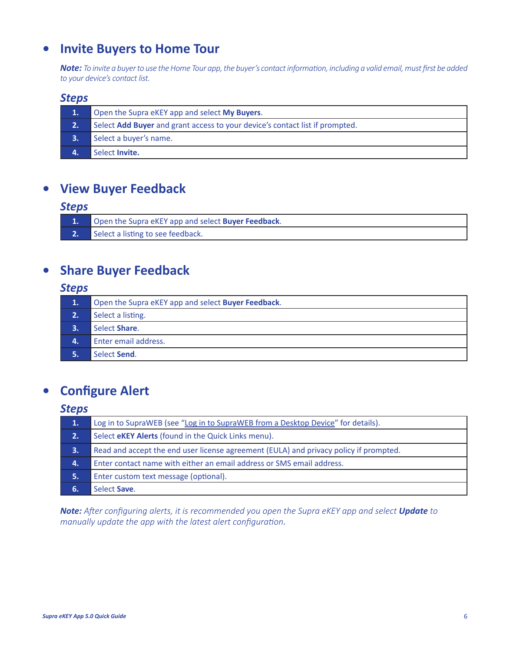# <span id="page-5-0"></span>**• Invite Buyers to Home Tour**

*Note: To invite a buyer to use the Home Tour app, the buyer's contact information, including a valid email, must first be added to your device's contact list.*

### *Steps*

| 1. | Open the Supra eKEY app and select My Buyers.                                |
|----|------------------------------------------------------------------------------|
| 2. | Select Add Buyer and grant access to your device's contact list if prompted. |
| З. | Select a buyer's name.                                                       |
|    | Select Invite.                                                               |

### **• View Buyer Feedback**

### *Steps*

|    | 1. Open the Supra eKEY app and select <b>Buyer Feedback</b> . |
|----|---------------------------------------------------------------|
| 2. | Select a listing to see feedback.                             |

# **• Share Buyer Feedback**

### *Steps*

| 1.  | Open the Supra eKEY app and select Buyer Feedback. |
|-----|----------------------------------------------------|
| 2.1 | Select a listing.                                  |
| 3.  | Select Share.                                      |
| 4.  | Enter email address.                               |
|     | Select Send.                                       |

# **• Configure Alert**

### *Steps*

| 1.    | Log in to SupraWEB (see "Log in to SupraWEB from a Desktop Device" for details).      |
|-------|---------------------------------------------------------------------------------------|
| 2.    | Select <b>eKEY Alerts</b> (found in the Quick Links menu).                            |
| З.    | Read and accept the end user license agreement (EULA) and privacy policy if prompted. |
| 4.    | Enter contact name with either an email address or SMS email address.                 |
| 15. . | Enter custom text message (optional).                                                 |
| 6.    | Select Save.                                                                          |

*Note: After configuring alerts, it is recommended you open the Supra eKEY app and select Update to manually update the app with the latest alert configuration*.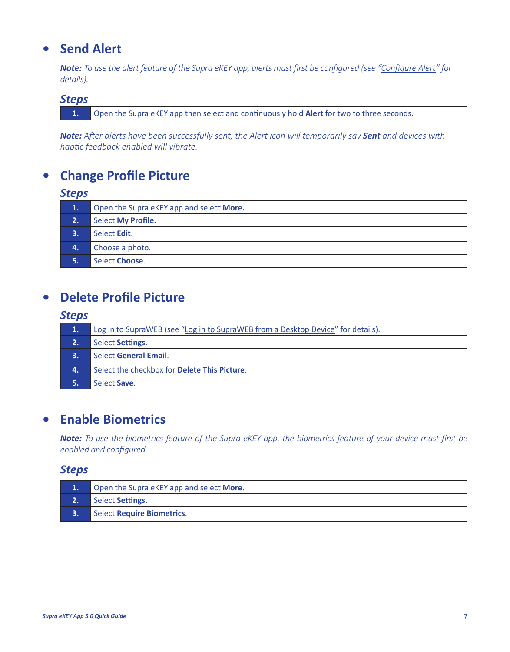# **• Send Alert**

*Note: To use the alert feature of the Supra eKEY app, alerts must first be configured (see ["Configure Alert](#page-5-0)" for details).*

#### *Steps*

**1.** Open the Supra eKEY app then select and continuously hold **Alert** for two to three seconds.

*Note: After alerts have been successfully sent, the Alert icon will temporarily say Sent and devices with haptic feedback enabled will vibrate.*

# **• Change Profile Picture**

### *Steps*

| 1.           | Open the Supra eKEY app and select More. |
|--------------|------------------------------------------|
| 2.1          | <b>Select My Profile.</b>                |
| 3.           | Select Edit.                             |
| $\mathbf{4}$ | Choose a photo.                          |
|              | Select Choose.                           |

### **• Delete Profile Picture**

#### *Steps*

| 1.1 | Log in to SupraWEB (see "Log in to SupraWEB from a Desktop Device" for details). |
|-----|----------------------------------------------------------------------------------|
| 2.  | Select Settings.                                                                 |
|     | Select General Email.                                                            |
| Δ.  | Select the checkbox for Delete This Picture.                                     |
|     | Select Save.                                                                     |

### **• Enable Biometrics**

*Note: To use the biometrics feature of the Supra eKEY app, the biometrics feature of your device must first be enabled and configured.*

| Open the Supra eKEY app and select More. |
|------------------------------------------|
| Select Settings.                         |
| Select Require Biometrics.               |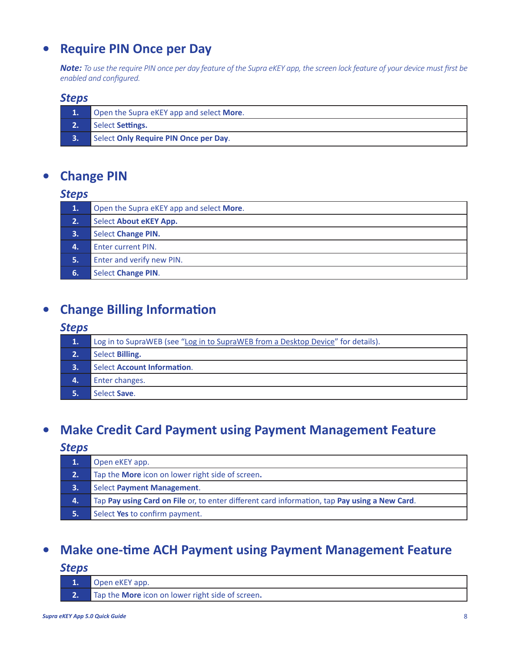# **• Require PIN Once per Day**

*Note: To use the require PIN once per day feature of the Supra eKEY app, the screen lock feature of your device must first be enabled and configured.*

#### *Steps*

|                           | Open the Supra eKEY app and select More. |
|---------------------------|------------------------------------------|
| $\overline{\mathbf{2}}$ . | Select Settings.                         |
| <b>B.</b>                 | Select Only Require PIN Once per Day.    |

# **• Change PIN**

#### *Steps*

| $\overline{1}$ . | Open the Supra eKEY app and select More. |
|------------------|------------------------------------------|
| 2.1              | Select About eKEY App.                   |
| 3.               | <b>Select Change PIN.</b>                |
| Δ.               | <b>Enter current PIN.</b>                |
| 5.               | Enter and verify new PIN.                |
| 6.               | <b>Select Change PIN.</b>                |

# **• Change Billing Information**

### *Steps*

| 1. | Log in to SupraWEB (see "Log in to SupraWEB from a Desktop Device" for details). |
|----|----------------------------------------------------------------------------------|
| 2. | Select Billing.                                                                  |
|    | Select Account Information.                                                      |
| 4. | Enter changes.                                                                   |
|    | Select Save.                                                                     |

# **• Make Credit Card Payment using Payment Management Feature**

### *Steps*

| 1.  | Open eKEY app.                                                                                |
|-----|-----------------------------------------------------------------------------------------------|
| 2.1 | Tap the More icon on lower right side of screen.                                              |
| 3.  | Select Payment Management.                                                                    |
| 4.  | Tap Pay using Card on File or, to enter different card information, tap Pay using a New Card. |
|     | Select Yes to confirm payment.                                                                |

# **• Make one-time ACH Payment using Payment Management Feature**

| Open eKEY app.                                   |
|--------------------------------------------------|
| Tap the More icon on lower right side of screen. |